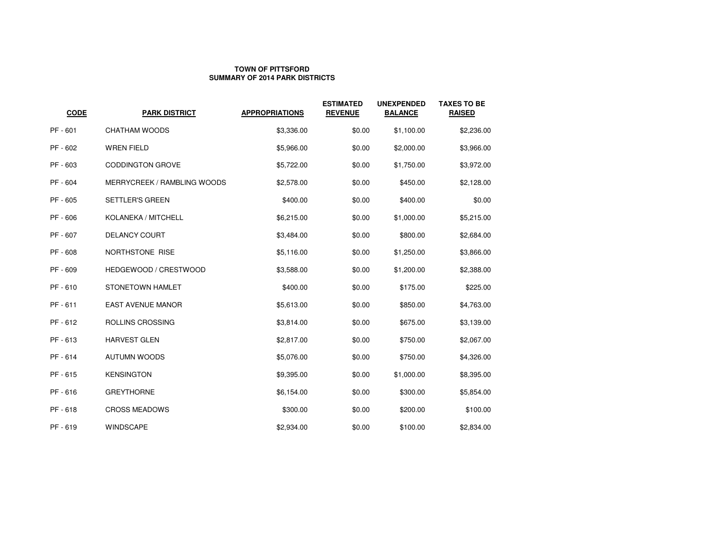## **TOWN OF PITTSFORDSUMMARY OF 2014 PARK DISTRICTS**

| <b>CODE</b> | <b>PARK DISTRICT</b>        | <b>APPROPRIATIONS</b> | <b>ESTIMATED</b><br><b>REVENUE</b> | <b>UNEXPENDED</b><br><b>BALANCE</b> | <b>TAXES TO BE</b><br><b>RAISED</b> |
|-------------|-----------------------------|-----------------------|------------------------------------|-------------------------------------|-------------------------------------|
| PF - 601    | CHATHAM WOODS               | \$3,336.00            | \$0.00                             | \$1,100.00                          | \$2,236.00                          |
| PF - 602    | <b>WREN FIELD</b>           | \$5,966.00            | \$0.00                             | \$2,000.00                          | \$3,966.00                          |
| PF - 603    | <b>CODDINGTON GROVE</b>     | \$5,722.00            | \$0.00                             | \$1,750.00                          | \$3,972.00                          |
| PF - 604    | MERRYCREEK / RAMBLING WOODS | \$2,578.00            | \$0.00                             | \$450.00                            | \$2,128.00                          |
| PF - 605    | <b>SETTLER'S GREEN</b>      | \$400.00              | \$0.00                             | \$400.00                            | \$0.00                              |
| PF - 606    | KOLANEKA / MITCHELL         | \$6,215.00            | \$0.00                             | \$1,000.00                          | \$5,215.00                          |
| PF - 607    | <b>DELANCY COURT</b>        | \$3,484.00            | \$0.00                             | \$800.00                            | \$2,684.00                          |
| PF - 608    | NORTHSTONE RISE             | \$5,116.00            | \$0.00                             | \$1,250.00                          | \$3,866.00                          |
| PF - 609    | HEDGEWOOD / CRESTWOOD       | \$3,588.00            | \$0.00                             | \$1,200.00                          | \$2,388.00                          |
| PF-610      | STONETOWN HAMLET            | \$400.00              | \$0.00                             | \$175.00                            | \$225.00                            |
| PF - 611    | <b>EAST AVENUE MANOR</b>    | \$5,613.00            | \$0.00                             | \$850.00                            | \$4,763.00                          |
| PF-612      | ROLLINS CROSSING            | \$3,814.00            | \$0.00                             | \$675.00                            | \$3,139.00                          |
| PF - 613    | <b>HARVEST GLEN</b>         | \$2,817.00            | \$0.00                             | \$750.00                            | \$2,067.00                          |
| PF - 614    | <b>AUTUMN WOODS</b>         | \$5,076.00            | \$0.00                             | \$750.00                            | \$4,326.00                          |
| PF-615      | <b>KENSINGTON</b>           | \$9,395.00            | \$0.00                             | \$1,000.00                          | \$8,395.00                          |
| PF - 616    | <b>GREYTHORNE</b>           | \$6,154.00            | \$0.00                             | \$300.00                            | \$5,854.00                          |
| PF-618      | <b>CROSS MEADOWS</b>        | \$300.00              | \$0.00                             | \$200.00                            | \$100.00                            |
| PF - 619    | <b>WINDSCAPE</b>            | \$2,934.00            | \$0.00                             | \$100.00                            | \$2,834.00                          |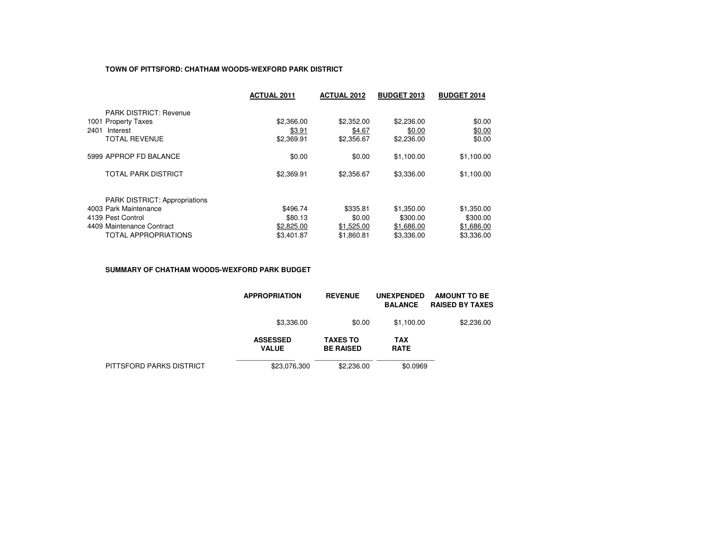## **TOWN OF PITTSFORD: CHATHAM WOODS-WEXFORD PARK DISTRICT**

|                                      | <b>ACTUAL 2011</b> | <b>ACTUAL 2012</b> | <b>BUDGET 2013</b> | <b>BUDGET 2014</b> |
|--------------------------------------|--------------------|--------------------|--------------------|--------------------|
| <b>PARK DISTRICT: Revenue</b>        |                    |                    |                    |                    |
| 1001 Property Taxes                  | \$2,366.00         | \$2,352.00         | \$2,236.00         | \$0.00             |
| 2401<br>Interest                     | \$3.91             | \$4.67             | \$0.00             | \$0.00             |
| <b>TOTAL REVENUE</b>                 | \$2,369.91         | \$2,356.67         | \$2,236.00         | \$0.00             |
| 5999 APPROP FD BALANCE               | \$0.00             | \$0.00             | \$1.100.00         | \$1,100.00         |
| <b>TOTAL PARK DISTRICT</b>           | \$2,369.91         | \$2,356.67         | \$3,336.00         | \$1,100.00         |
| <b>PARK DISTRICT: Appropriations</b> |                    |                    |                    |                    |
| 4003 Park Maintenance                | \$496.74           | \$335.81           | \$1,350.00         | \$1,350.00         |
| 4139 Pest Control                    | \$80.13            | \$0.00             | \$300.00           | \$300.00           |
| 4409 Maintenance Contract            | \$2,825.00         | \$1,525.00         | \$1,686.00         | \$1,686.00         |
| <b>TOTAL APPROPRIATIONS</b>          | \$3,401.87         | \$1,860.81         | \$3,336.00         | \$3,336.00         |

#### **SUMMARY OF CHATHAM WOODS-WEXFORD PARK BUDGET**

|                          | <b>APPROPRIATION</b>            | <b>REVENUE</b>                      | <b>UNEXPENDED</b><br><b>BALANCE</b> | <b>AMOUNT TO BE</b><br><b>RAISED BY TAXES</b> |
|--------------------------|---------------------------------|-------------------------------------|-------------------------------------|-----------------------------------------------|
|                          | \$3,336.00                      | \$0.00                              | \$1.100.00                          | \$2,236.00                                    |
|                          | <b>ASSESSED</b><br><b>VALUE</b> | <b>TAXES TO</b><br><b>BE RAISED</b> | <b>TAX</b><br><b>RATE</b>           |                                               |
| PITTSFORD PARKS DISTRICT | \$23,076,300                    | \$2,236,00                          | \$0.0969                            |                                               |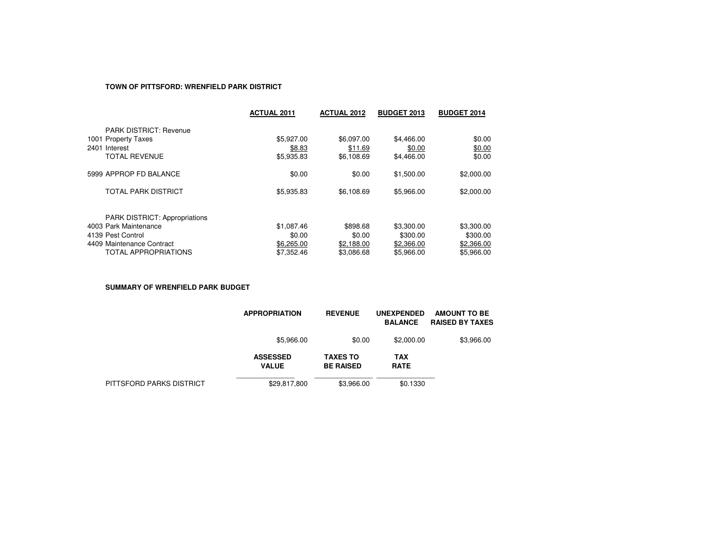### **TOWN OF PITTSFORD: WRENFIELD PARK DISTRICT**

|                                      | <b>ACTUAL 2011</b> | <b>ACTUAL 2012</b> | <b>BUDGET 2013</b> | <b>BUDGET 2014</b> |
|--------------------------------------|--------------------|--------------------|--------------------|--------------------|
| <b>PARK DISTRICT: Revenue</b>        |                    |                    |                    |                    |
| 1001 Property Taxes                  | \$5,927.00         | \$6,097.00         | \$4,466.00         | \$0.00             |
| 2401 Interest                        | \$8.83             | \$11.69            | \$0.00             | \$0.00             |
| <b>TOTAL REVENUE</b>                 | \$5,935.83         | \$6,108.69         | \$4,466.00         | \$0.00             |
| 5999 APPROP FD BALANCE               | \$0.00             | \$0.00             | \$1,500.00         | \$2,000.00         |
| <b>TOTAL PARK DISTRICT</b>           | \$5,935.83         | \$6,108.69         | \$5,966.00         | \$2,000.00         |
| <b>PARK DISTRICT: Appropriations</b> |                    |                    |                    |                    |
| 4003 Park Maintenance                | \$1,087.46         | \$898.68           | \$3,300.00         | \$3,300.00         |
| 4139 Pest Control                    | \$0.00             | \$0.00             | \$300.00           | \$300.00           |
| 4409 Maintenance Contract            | \$6,265.00         | \$2,188.00         | \$2,366.00         | \$2,366.00         |
| <b>TOTAL APPROPRIATIONS</b>          | \$7,352.46         | \$3,086.68         | \$5,966,00         | \$5.966.00         |

**SUMMARY OF WRENFIELD PARK BUDGET**

|                          | <b>APPROPRIATION</b>            | <b>REVENUE</b>                      | <b>UNEXPENDED</b><br><b>BALANCE</b> | <b>AMOUNT TO BE</b><br><b>RAISED BY TAXES</b> |
|--------------------------|---------------------------------|-------------------------------------|-------------------------------------|-----------------------------------------------|
|                          | \$5,966.00                      | \$0.00                              | \$2,000.00                          | \$3,966.00                                    |
|                          | <b>ASSESSED</b><br><b>VALUE</b> | <b>TAXES TO</b><br><b>BE RAISED</b> | <b>TAX</b><br><b>RATE</b>           |                                               |
| PITTSFORD PARKS DISTRICT | \$29,817,800                    | \$3,966.00                          | \$0.1330                            |                                               |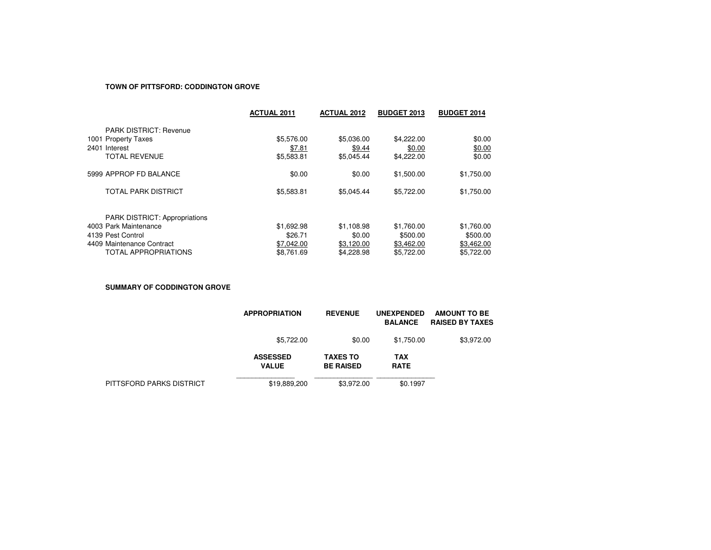#### **TOWN OF PITTSFORD: CODDINGTON GROVE**

|                                                               | <b>ACTUAL 2011</b> | <b>ACTUAL 2012</b> | <b>BUDGET 2013</b> | <b>BUDGET 2014</b> |
|---------------------------------------------------------------|--------------------|--------------------|--------------------|--------------------|
| <b>PARK DISTRICT: Revenue</b>                                 |                    |                    |                    |                    |
| 1001 Property Taxes                                           | \$5,576.00         | \$5,036,00         | \$4,222,00         | \$0.00             |
| 2401 Interest                                                 | \$7.81             | \$9.44             | \$0.00             | \$0.00             |
| <b>TOTAL REVENUE</b>                                          | \$5,583.81         | \$5.045.44         | \$4,222.00         | \$0.00             |
| 5999 APPROP FD BALANCE                                        | \$0.00             | \$0.00             | \$1,500.00         | \$1,750.00         |
| <b>TOTAL PARK DISTRICT</b>                                    | \$5,583.81         | \$5.045.44         | \$5,722,00         | \$1,750.00         |
|                                                               |                    |                    |                    |                    |
| <b>PARK DISTRICT: Appropriations</b><br>4003 Park Maintenance | \$1,692.98         | \$1,108.98         | \$1,760.00         | \$1,760.00         |
| 4139 Pest Control                                             | \$26.71            | \$0.00             | \$500.00           | \$500.00           |
| 4409 Maintenance Contract                                     | \$7,042.00         | \$3.120.00         | \$3,462.00         | \$3,462.00         |
| <b>TOTAL APPROPRIATIONS</b>                                   | \$8.761.69         | \$4.228.98         | \$5,722,00         | \$5,722,00         |

**SUMMARY OF CODDINGTON GROVE**

|                          | <b>APPROPRIATION</b>            | <b>REVENUE</b>                      | <b>UNEXPENDED</b><br><b>BALANCE</b> | <b>AMOUNT TO BE</b><br><b>RAISED BY TAXES</b> |
|--------------------------|---------------------------------|-------------------------------------|-------------------------------------|-----------------------------------------------|
|                          | \$5,722.00                      | \$0.00                              | \$1,750.00                          | \$3,972.00                                    |
|                          | <b>ASSESSED</b><br><b>VALUE</b> | <b>TAXES TO</b><br><b>BE RAISED</b> | <b>TAX</b><br><b>RATE</b>           |                                               |
| PITTSFORD PARKS DISTRICT | \$19,889,200                    | \$3,972.00                          | \$0.1997                            |                                               |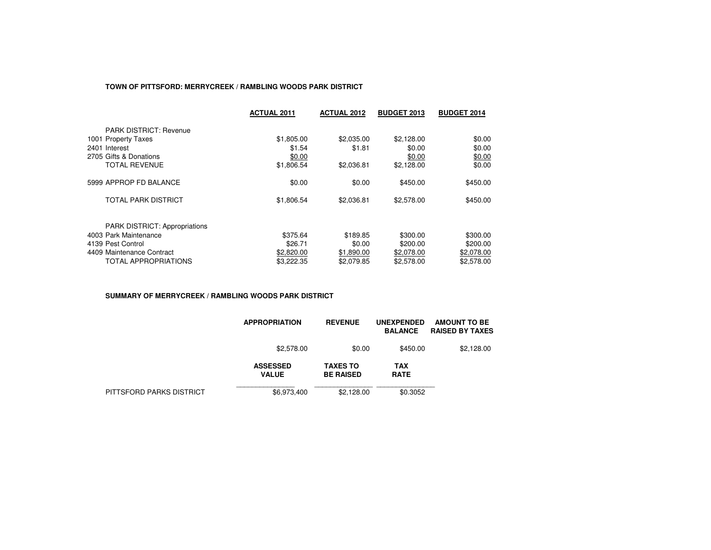## **TOWN OF PITTSFORD: MERRYCREEK / RAMBLING WOODS PARK DISTRICT**

|                                      | <b>ACTUAL 2011</b> | <b>ACTUAL 2012</b> | <b>BUDGET 2013</b> | <b>BUDGET 2014</b> |
|--------------------------------------|--------------------|--------------------|--------------------|--------------------|
| <b>PARK DISTRICT: Revenue</b>        |                    |                    |                    |                    |
| 1001 Property Taxes                  | \$1,805.00         | \$2,035.00         | \$2,128.00         | \$0.00             |
| 2401 Interest                        | \$1.54             | \$1.81             | \$0.00             | \$0.00             |
| 2705 Gifts & Donations               | \$0.00             |                    | \$0.00             | \$0.00             |
| TOTAL REVENUE                        | \$1,806.54         | \$2,036.81         | \$2,128.00         | \$0.00             |
| 5999 APPROP FD BALANCE               | \$0.00             | \$0.00             | \$450.00           | \$450.00           |
| TOTAL PARK DISTRICT                  | \$1,806.54         | \$2,036.81         | \$2,578.00         | \$450.00           |
| <b>PARK DISTRICT: Appropriations</b> |                    |                    |                    |                    |
| 4003 Park Maintenance                | \$375.64           | \$189.85           | \$300.00           | \$300.00           |
| 4139 Pest Control                    | \$26.71            | \$0.00             | \$200.00           | \$200.00           |
| 4409 Maintenance Contract            | \$2,820.00         | \$1,890.00         | \$2,078.00         | \$2,078.00         |
| TOTAL APPROPRIATIONS                 | \$3.222.35         | \$2.079.85         | \$2,578.00         | \$2,578.00         |

#### **SUMMARY OF MERRYCREEK / RAMBLING WOODS PARK DISTRICT**

|                          | <b>APPROPRIATION</b>            | <b>REVENUE</b>                      | <b>UNEXPENDED</b><br><b>BALANCE</b> | AMOUNT TO BE<br><b>RAISED BY TAXES</b> |
|--------------------------|---------------------------------|-------------------------------------|-------------------------------------|----------------------------------------|
|                          | \$2,578.00                      | \$0.00                              | \$450.00                            | \$2,128.00                             |
|                          | <b>ASSESSED</b><br><b>VALUE</b> | <b>TAXES TO</b><br><b>BE RAISED</b> | <b>TAX</b><br><b>RATE</b>           |                                        |
| PITTSFORD PARKS DISTRICT | \$6,973,400                     | \$2.128.00                          | \$0.3052                            |                                        |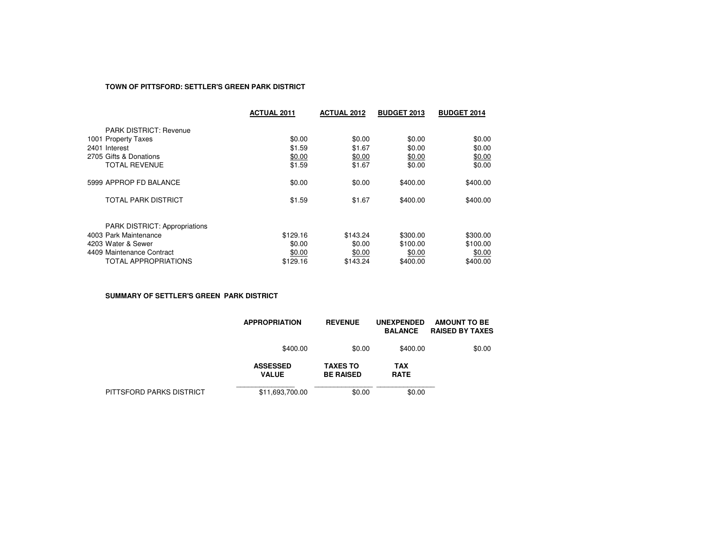## **TOWN OF PITTSFORD: SETTLER'S GREEN PARK DISTRICT**

|                                      | <b>ACTUAL 2011</b> | <b>ACTUAL 2012</b> | <b>BUDGET 2013</b> | <b>BUDGET 2014</b> |
|--------------------------------------|--------------------|--------------------|--------------------|--------------------|
| <b>PARK DISTRICT: Revenue</b>        |                    |                    |                    |                    |
| 1001 Property Taxes                  | \$0.00             | \$0.00             | \$0.00             | \$0.00             |
| 2401 Interest                        | \$1.59             | \$1.67             | \$0.00             | \$0.00             |
| 2705 Gifts & Donations               | \$0.00             | \$0.00             | \$0.00             | \$0.00             |
| <b>TOTAL REVENUE</b>                 | \$1.59             | \$1.67             | \$0.00             | \$0.00             |
| 5999 APPROP FD BALANCE               | \$0.00             | \$0.00             | \$400.00           | \$400.00           |
| TOTAL PARK DISTRICT                  | \$1.59             | \$1.67             | \$400.00           | \$400.00           |
| <b>PARK DISTRICT: Appropriations</b> |                    |                    |                    |                    |
| 4003 Park Maintenance                | \$129.16           | \$143.24           | \$300.00           | \$300.00           |
| 4203 Water & Sewer                   | \$0.00             | \$0.00             | \$100.00           | \$100.00           |
| 4409 Maintenance Contract            | \$0.00             | \$0.00             | \$0.00             | \$0.00             |
| TOTAL APPROPRIATIONS                 | \$129.16           | \$143.24           | \$400.00           | \$400.00           |

**SUMMARY OF SETTLER'S GREEN PARK DISTRICT**

|                          | <b>APPROPRIATION</b>            | <b>REVENUE</b>                      | <b>UNEXPENDED</b><br><b>BALANCE</b> | AMOUNT TO BE<br><b>RAISED BY TAXES</b> |
|--------------------------|---------------------------------|-------------------------------------|-------------------------------------|----------------------------------------|
|                          | \$400.00                        | \$0.00                              | \$400.00                            | \$0.00                                 |
|                          | <b>ASSESSED</b><br><b>VALUE</b> | <b>TAXES TO</b><br><b>BE RAISED</b> | TAX<br><b>RATE</b>                  |                                        |
| PITTSFORD PARKS DISTRICT | \$11,693,700.00                 | \$0.00                              | \$0.00                              |                                        |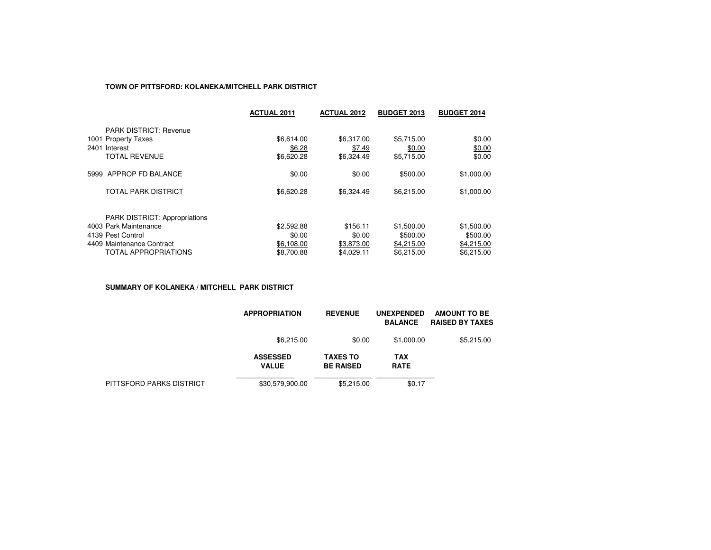## **TOWN OF PITTSFORD: KOLANEKA/MITCHELL PARK DISTRICT**

|                                      | <b>ACTUAL 2011</b> | <b>ACTUAL 2012</b> | <b>BUDGET 2013</b> | <b>BUDGET 2014</b> |
|--------------------------------------|--------------------|--------------------|--------------------|--------------------|
| <b>PARK DISTRICT: Revenue</b>        |                    |                    |                    |                    |
| 1001 Property Taxes                  | \$6,614.00         | \$6.317.00         | \$5.715.00         | \$0.00             |
| 2401 Interest                        | \$6.28             | \$7.49             | \$0.00             | \$0.00             |
| <b>TOTAL REVENUE</b>                 | \$6,620.28         | \$6,324.49         | \$5,715.00         | \$0.00             |
| 5999 APPROP FD BALANCE               | \$0.00             | \$0.00             | \$500.00           | \$1,000.00         |
| <b>TOTAL PARK DISTRICT</b>           | \$6,620.28         | \$6,324.49         | \$6,215.00         | \$1,000.00         |
| <b>PARK DISTRICT: Appropriations</b> |                    |                    |                    |                    |
| 4003 Park Maintenance                | \$2,592.88         | \$156.11           | \$1,500.00         | \$1,500.00         |
| 4139 Pest Control                    | \$0.00             | \$0.00             | \$500.00           | \$500.00           |
| 4409 Maintenance Contract            | \$6,108.00         | \$3.873.00         | \$4,215.00         | \$4,215.00         |
| <b>TOTAL APPROPRIATIONS</b>          | \$8,700.88         | \$4.029.11         | \$6.215.00         | \$6.215.00         |

**SUMMARY OF KOLANEKA / MITCHELL PARK DISTRICT**

|                          | <b>APPROPRIATION</b>            | <b>REVENUE</b>                      | <b>UNEXPENDED</b><br><b>BALANCE</b> | <b>AMOUNT TO BE</b><br><b>RAISED BY TAXES</b> |
|--------------------------|---------------------------------|-------------------------------------|-------------------------------------|-----------------------------------------------|
|                          | \$6.215.00                      | \$0.00                              | \$1,000.00                          | \$5.215.00                                    |
|                          | <b>ASSESSED</b><br><b>VALUE</b> | <b>TAXES TO</b><br><b>BE RAISED</b> | <b>TAX</b><br><b>RATE</b>           |                                               |
| PITTSFORD PARKS DISTRICT | \$30,579,900.00                 | \$5,215.00                          | \$0.17                              |                                               |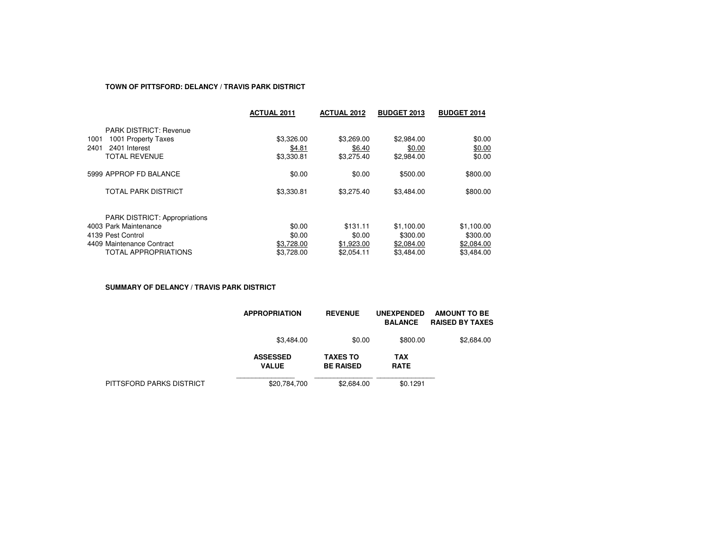### **TOWN OF PITTSFORD: DELANCY / TRAVIS PARK DISTRICT**

|                                      | <b>ACTUAL 2011</b> | <b>ACTUAL 2012</b> | <b>BUDGET 2013</b> | <b>BUDGET 2014</b> |
|--------------------------------------|--------------------|--------------------|--------------------|--------------------|
| <b>PARK DISTRICT: Revenue</b>        |                    |                    |                    |                    |
| 1001 Property Taxes<br>1001          | \$3,326,00         | \$3,269.00         | \$2,984.00         | \$0.00             |
| 2401<br>2401 Interest                | \$4.81             | \$6.40             | \$0.00             | \$0.00             |
| <b>TOTAL REVENUE</b>                 | \$3,330.81         | \$3.275.40         | \$2,984.00         | \$0.00             |
| 5999 APPROP FD BALANCE               | \$0.00             | \$0.00             | \$500.00           | \$800.00           |
| TOTAL PARK DISTRICT                  | \$3,330.81         | \$3,275.40         | \$3,484.00         | \$800.00           |
| <b>PARK DISTRICT: Appropriations</b> |                    |                    |                    |                    |
| 4003 Park Maintenance                | \$0.00             | \$131.11           | \$1,100.00         | \$1,100.00         |
| 4139 Pest Control                    | \$0.00             | \$0.00             | \$300.00           | \$300.00           |
| 4409 Maintenance Contract            | \$3.728.00         | \$1,923.00         | \$2,084.00         | \$2.084.00         |
| <b>TOTAL APPROPRIATIONS</b>          | \$3.728.00         | \$2.054.11         | \$3.484.00         | \$3.484.00         |

**SUMMARY OF DELANCY / TRAVIS PARK DISTRICT**

|                          | <b>APPROPRIATION</b>            | <b>REVENUE</b>                      | <b>UNEXPENDED</b><br><b>BALANCE</b> | <b>AMOUNT TO BE</b><br><b>RAISED BY TAXES</b> |
|--------------------------|---------------------------------|-------------------------------------|-------------------------------------|-----------------------------------------------|
|                          | \$3,484.00                      | \$0.00                              | \$800.00                            | \$2,684.00                                    |
|                          | <b>ASSESSED</b><br><b>VALUE</b> | <b>TAXES TO</b><br><b>BE RAISED</b> | <b>TAX</b><br><b>RATE</b>           |                                               |
| PITTSFORD PARKS DISTRICT | \$20,784,700                    | \$2,684.00                          | \$0.1291                            |                                               |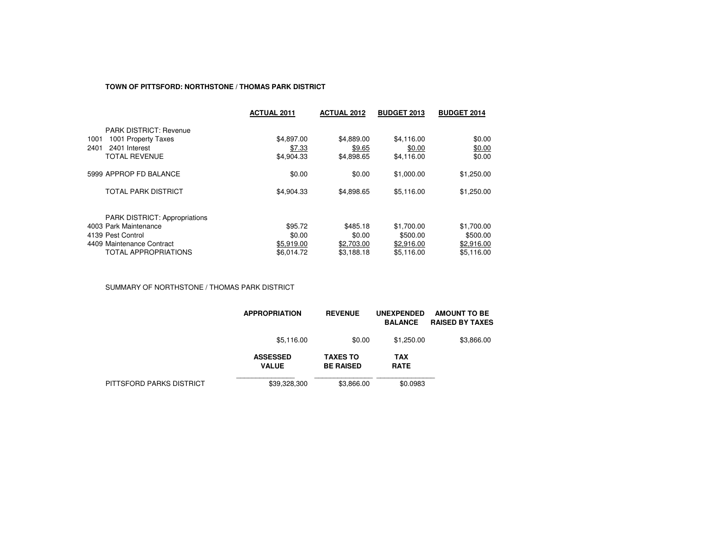#### **TOWN OF PITTSFORD: NORTHSTONE / THOMAS PARK DISTRICT**

|                                      | <b>ACTUAL 2011</b> | <b>ACTUAL 2012</b> | <b>BUDGET 2013</b> | <b>BUDGET 2014</b> |
|--------------------------------------|--------------------|--------------------|--------------------|--------------------|
| <b>PARK DISTRICT: Revenue</b>        |                    |                    |                    |                    |
| 1001 Property Taxes<br>1001          | \$4,897.00         | \$4,889.00         | \$4,116.00         | \$0.00             |
| 2401<br>2401 Interest                | \$7.33             | \$9.65             | \$0.00             | \$0.00             |
| <b>TOTAL REVENUE</b>                 | \$4,904.33         | \$4,898.65         | \$4,116.00         | \$0.00             |
| 5999 APPROP FD BALANCE               | \$0.00             | \$0.00             | \$1,000.00         | \$1,250.00         |
| TOTAL PARK DISTRICT                  | \$4,904.33         | \$4,898.65         | \$5,116.00         | \$1,250.00         |
| <b>PARK DISTRICT: Appropriations</b> |                    |                    |                    |                    |
| 4003 Park Maintenance                | \$95.72            | \$485.18           | \$1,700.00         | \$1,700.00         |
| 4139 Pest Control                    | \$0.00             | \$0.00             | \$500.00           | \$500.00           |
| 4409 Maintenance Contract            | \$5,919.00         | \$2,703.00         | \$2,916.00         | \$2,916.00         |
| <b>TOTAL APPROPRIATIONS</b>          | \$6.014.72         | \$3.188.18         | \$5.116.00         | \$5.116.00         |

SUMMARY OF NORTHSTONE / THOMAS PARK DISTRICT

|                          | <b>APPROPRIATION</b>            | <b>REVENUE</b>                      | <b>UNEXPENDED</b><br><b>BALANCE</b> | <b>AMOUNT TO BE</b><br><b>RAISED BY TAXES</b> |
|--------------------------|---------------------------------|-------------------------------------|-------------------------------------|-----------------------------------------------|
|                          | \$5,116.00                      | \$0.00                              | \$1,250.00                          | \$3,866.00                                    |
|                          | <b>ASSESSED</b><br><b>VALUE</b> | <b>TAXES TO</b><br><b>BE RAISED</b> | <b>TAX</b><br><b>RATE</b>           |                                               |
| PITTSFORD PARKS DISTRICT | \$39,328,300                    | \$3,866,00                          | \$0.0983                            |                                               |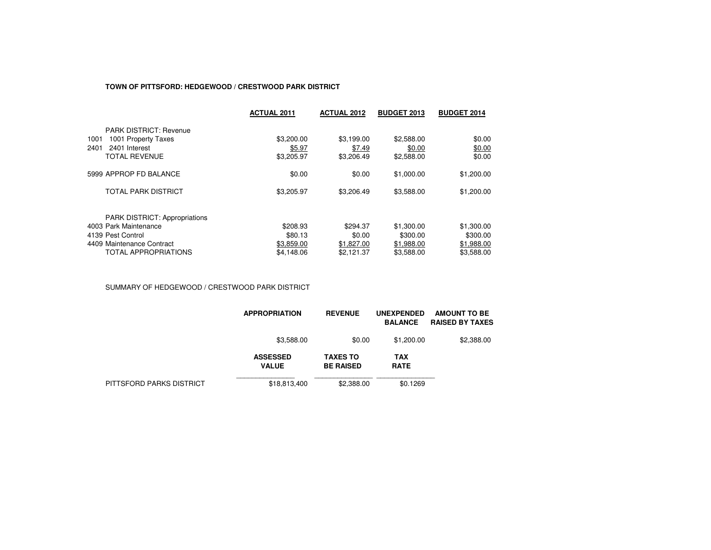### **TOWN OF PITTSFORD: HEDGEWOOD / CRESTWOOD PARK DISTRICT**

|                                      | <b>ACTUAL 2011</b> | <b>ACTUAL 2012</b> | <b>BUDGET 2013</b> | <b>BUDGET 2014</b> |
|--------------------------------------|--------------------|--------------------|--------------------|--------------------|
| <b>PARK DISTRICT: Revenue</b>        |                    |                    |                    |                    |
| 1001 Property Taxes<br>1001          | \$3,200.00         | \$3.199.00         | \$2,588.00         | \$0.00             |
| 2401<br>2401 Interest                | \$5.97             | \$7.49             | \$0.00             | \$0.00             |
| <b>TOTAL REVENUE</b>                 | \$3,205.97         | \$3,206.49         | \$2,588.00         | \$0.00             |
| 5999 APPROP FD BALANCE               | \$0.00             | \$0.00             | \$1,000.00         | \$1,200.00         |
| <b>TOTAL PARK DISTRICT</b>           | \$3,205.97         | \$3,206.49         | \$3,588.00         | \$1,200.00         |
| <b>PARK DISTRICT: Appropriations</b> |                    |                    |                    |                    |
| 4003 Park Maintenance                | \$208.93           | \$294.37           | \$1,300.00         | \$1,300.00         |
| 4139 Pest Control                    | \$80.13            | \$0.00             | \$300.00           | \$300.00           |
| 4409 Maintenance Contract            | \$3,859.00         | \$1,827.00         | \$1,988.00         | \$1,988.00         |
| <b>TOTAL APPROPRIATIONS</b>          | \$4.148.06         | \$2.121.37         | \$3.588.00         | \$3,588.00         |

SUMMARY OF HEDGEWOOD / CRESTWOOD PARK DISTRICT

|                          | <b>APPROPRIATION</b>            | <b>REVENUE</b>                      | <b>UNEXPENDED</b><br><b>BALANCE</b> | <b>AMOUNT TO BE</b><br><b>RAISED BY TAXES</b> |
|--------------------------|---------------------------------|-------------------------------------|-------------------------------------|-----------------------------------------------|
|                          | \$3,588.00                      | \$0.00                              | \$1,200.00                          | \$2,388.00                                    |
|                          | <b>ASSESSED</b><br><b>VALUE</b> | <b>TAXES TO</b><br><b>BE RAISED</b> | <b>TAX</b><br><b>RATE</b>           |                                               |
| PITTSFORD PARKS DISTRICT | \$18,813,400                    | \$2,388.00                          | \$0.1269                            |                                               |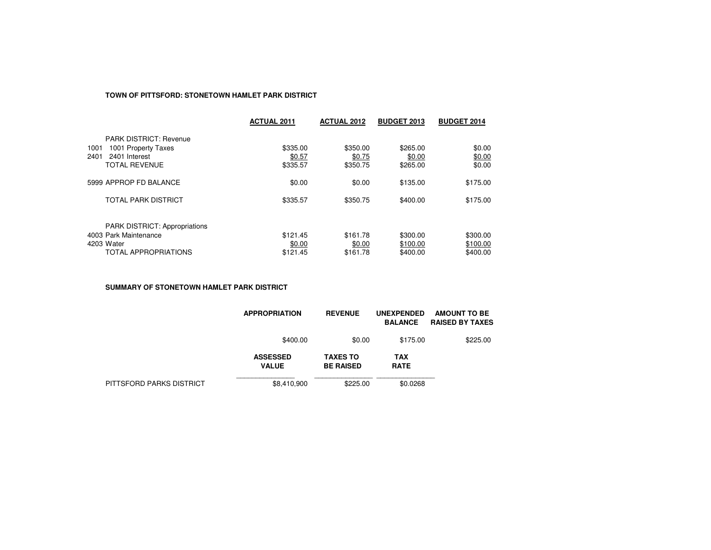## **TOWN OF PITTSFORD: STONETOWN HAMLET PARK DISTRICT**

|                                                               | <b>ACTUAL 2011</b> | <b>ACTUAL 2012</b> | <b>BUDGET 2013</b> | <b>BUDGET 2014</b> |
|---------------------------------------------------------------|--------------------|--------------------|--------------------|--------------------|
| <b>PARK DISTRICT: Revenue</b>                                 |                    |                    |                    |                    |
| 1001 Property Taxes<br>1001                                   | \$335.00           | \$350.00           | \$265.00           | \$0.00             |
| 2401<br>2401 Interest                                         | \$0.57             | \$0.75             | \$0.00             | \$0.00             |
| <b>TOTAL REVENUE</b>                                          | \$335.57           | \$350.75           | \$265.00           | \$0.00             |
| 5999 APPROP FD BALANCE                                        | \$0.00             | \$0.00             | \$135.00           | \$175.00           |
| <b>TOTAL PARK DISTRICT</b>                                    | \$335.57           | \$350.75           | \$400.00           | \$175.00           |
|                                                               |                    |                    |                    |                    |
| <b>PARK DISTRICT: Appropriations</b><br>4003 Park Maintenance | \$121.45           | \$161.78           | \$300.00           | \$300.00           |
| 4203 Water                                                    | \$0.00             | \$0.00             | \$100.00           | \$100.00           |
| <b>TOTAL APPROPRIATIONS</b>                                   | \$121.45           | \$161.78           | \$400.00           | \$400.00           |
|                                                               |                    |                    |                    |                    |

**SUMMARY OF STONETOWN HAMLET PARK DISTRICT**

|                          | <b>APPROPRIATION</b>            | <b>REVENUE</b>                      | <b>UNEXPENDED</b><br><b>BALANCE</b> | <b>AMOUNT TO BE</b><br><b>RAISED BY TAXES</b> |
|--------------------------|---------------------------------|-------------------------------------|-------------------------------------|-----------------------------------------------|
|                          | \$400.00                        | \$0.00                              | \$175.00                            | \$225.00                                      |
|                          | <b>ASSESSED</b><br><b>VALUE</b> | <b>TAXES TO</b><br><b>BE RAISED</b> | <b>TAX</b><br><b>RATE</b>           |                                               |
| PITTSFORD PARKS DISTRICT | \$8,410,900                     | \$225.00                            | \$0.0268                            |                                               |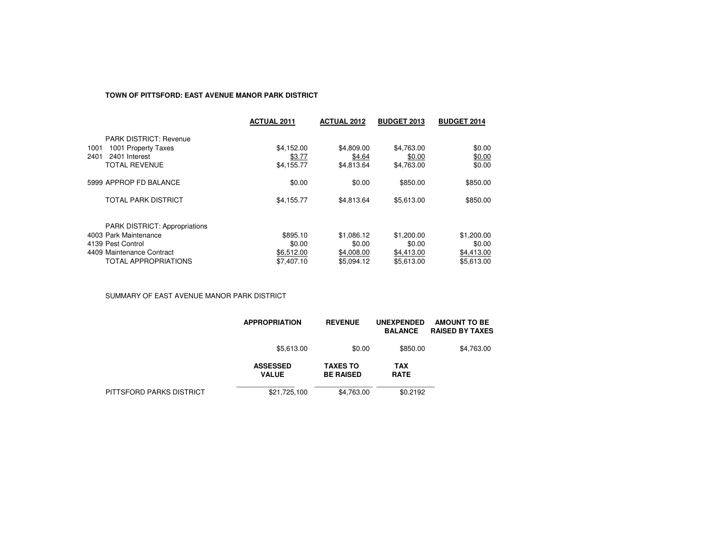# **TOWN OF PITTSFORD: EAST AVENUE MANOR PARK DISTRICT**

|                                                              | <b>ACTUAL 2011</b>   | <b>ACTUAL 2012</b>   | <b>BUDGET 2013</b>   | <b>BUDGET 2014</b> |
|--------------------------------------------------------------|----------------------|----------------------|----------------------|--------------------|
| <b>PARK DISTRICT: Revenue</b><br>1001 Property Taxes<br>1001 | \$4,152.00           | \$4,809.00           | \$4,763.00           | \$0.00             |
| 2401 Interest<br>2401<br><b>TOTAL REVENUE</b>                | \$3.77<br>\$4,155.77 | \$4.64<br>\$4,813.64 | \$0.00<br>\$4,763.00 | \$0.00<br>\$0.00   |
| 5999 APPROP FD BALANCE                                       | \$0.00               | \$0.00               | \$850.00             | \$850.00           |
| <b>TOTAL PARK DISTRICT</b>                                   | \$4,155.77           | \$4,813.64           | \$5,613.00           | \$850.00           |
| <b>PARK DISTRICT: Appropriations</b>                         |                      |                      |                      |                    |
| 4003 Park Maintenance                                        | \$895.10             | \$1,086.12           | \$1,200.00           | \$1,200.00         |
| 4139 Pest Control                                            | \$0.00               | \$0.00               | \$0.00               | \$0.00             |
| 4409 Maintenance Contract                                    | \$6,512.00           | \$4,008.00           | \$4,413.00           | \$4,413.00         |
| <b>TOTAL APPROPRIATIONS</b>                                  | \$7,407.10           | \$5.094.12           | \$5.613.00           | \$5.613.00         |

SUMMARY OF EAST AVENUE MANOR PARK DISTRICT

|                          | <b>APPROPRIATION</b>            | <b>REVENUE</b>                      | <b>UNEXPENDED</b><br><b>BALANCE</b> | <b>AMOUNT TO BE</b><br><b>RAISED BY TAXES</b> |
|--------------------------|---------------------------------|-------------------------------------|-------------------------------------|-----------------------------------------------|
|                          | \$5,613.00                      | \$0.00                              | \$850.00                            | \$4,763.00                                    |
|                          | <b>ASSESSED</b><br><b>VALUE</b> | <b>TAXES TO</b><br><b>BE RAISED</b> | TAX<br><b>RATE</b>                  |                                               |
| PITTSFORD PARKS DISTRICT | \$21,725,100                    | \$4,763.00                          | \$0.2192                            |                                               |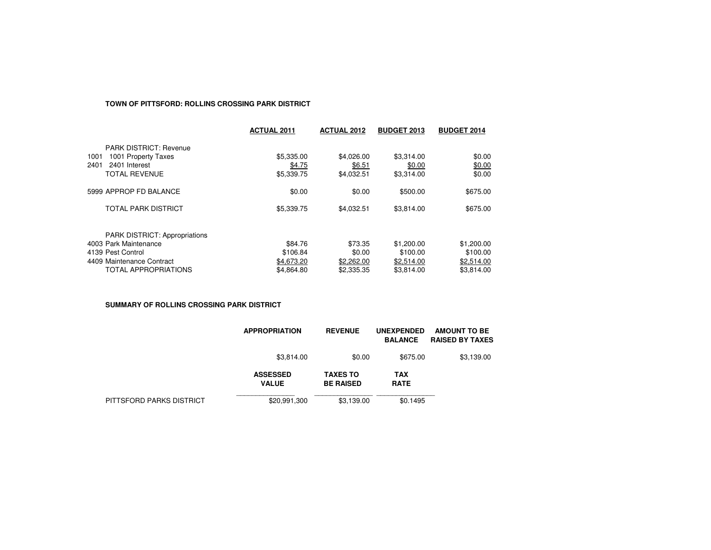#### **TOWN OF PITTSFORD: ROLLINS CROSSING PARK DISTRICT**

|                               | <b>ACTUAL 2011</b> | <b>ACTUAL 2012</b> | <b>BUDGET 2013</b> | <b>BUDGET 2014</b> |
|-------------------------------|--------------------|--------------------|--------------------|--------------------|
| <b>PARK DISTRICT: Revenue</b> |                    |                    |                    |                    |
| 1001 Property Taxes<br>1001   | \$5,335.00         | \$4,026.00         | \$3,314.00         | \$0.00             |
| 2401<br>2401 Interest         | \$4.75             | \$6.51             | \$0.00             | \$0.00             |
| <b>TOTAL REVENUE</b>          | \$5,339.75         | \$4,032.51         | \$3,314.00         | \$0.00             |
| 5999 APPROP FD BALANCE        | \$0.00             | \$0.00             | \$500.00           | \$675.00           |
| <b>TOTAL PARK DISTRICT</b>    | \$5,339.75         | \$4,032.51         | \$3,814.00         | \$675.00           |
| PARK DISTRICT: Appropriations |                    |                    |                    |                    |
| 4003 Park Maintenance         | \$84.76            | \$73.35            | \$1,200.00         | \$1,200.00         |
| 4139 Pest Control             | \$106.84           | \$0.00             | \$100.00           | \$100.00           |
| 4409 Maintenance Contract     | \$4,673.20         | \$2,262.00         | \$2,514.00         | \$2,514.00         |
| <b>TOTAL APPROPRIATIONS</b>   | \$4.864.80         | \$2,335.35         | \$3.814.00         | \$3.814.00         |

**SUMMARY OF ROLLINS CROSSING PARK DISTRICT**

|                          | <b>APPROPRIATION</b>            | <b>REVENUE</b>                      | <b>UNEXPENDED</b><br><b>BALANCE</b> | AMOUNT TO BE<br><b>RAISED BY TAXES</b> |
|--------------------------|---------------------------------|-------------------------------------|-------------------------------------|----------------------------------------|
|                          | \$3.814.00                      | \$0.00                              | \$675.00                            | \$3,139.00                             |
|                          | <b>ASSESSED</b><br><b>VALUE</b> | <b>TAXES TO</b><br><b>BE RAISED</b> | TAX<br><b>RATE</b>                  |                                        |
| PITTSFORD PARKS DISTRICT | \$20,991,300                    | \$3,139.00                          | \$0.1495                            |                                        |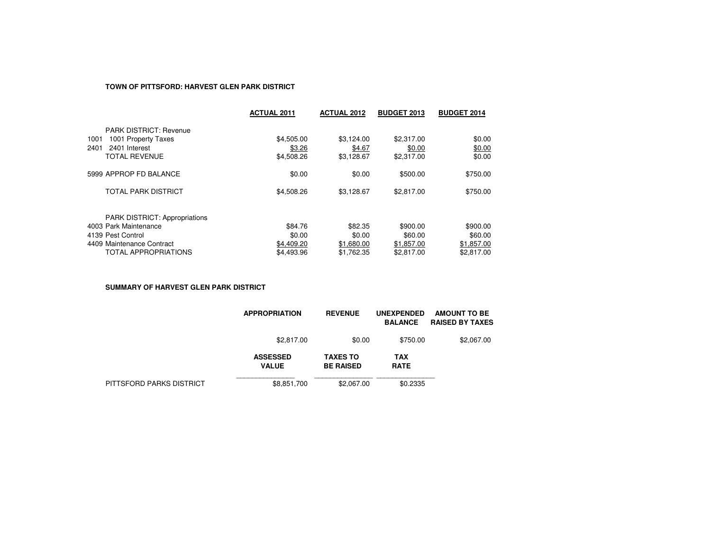## **TOWN OF PITTSFORD: HARVEST GLEN PARK DISTRICT**

|                                      | <b>ACTUAL 2011</b> | <b>ACTUAL 2012</b> | <b>BUDGET 2013</b> | <b>BUDGET 2014</b> |
|--------------------------------------|--------------------|--------------------|--------------------|--------------------|
| <b>PARK DISTRICT: Revenue</b>        |                    |                    |                    |                    |
| 1001 Property Taxes<br>1001          | \$4,505.00         | \$3,124.00         | \$2.317.00         | \$0.00             |
| 2401<br>2401 Interest                | \$3.26             | \$4.67             | \$0.00             | \$0.00             |
| <b>TOTAL REVENUE</b>                 | \$4,508.26         | \$3.128.67         | \$2,317.00         | \$0.00             |
| 5999 APPROP FD BALANCE               | \$0.00             | \$0.00             | \$500.00           | \$750.00           |
| TOTAL PARK DISTRICT                  | \$4,508.26         | \$3,128.67         | \$2,817.00         | \$750.00           |
| <b>PARK DISTRICT: Appropriations</b> |                    |                    |                    |                    |
| 4003 Park Maintenance                | \$84.76            | \$82.35            | \$900.00           | \$900.00           |
| 4139 Pest Control                    | \$0.00             | \$0.00             | \$60.00            | \$60.00            |
| 4409 Maintenance Contract            | \$4,409.20         | \$1,680.00         | \$1,857.00         | \$1,857.00         |
| <b>TOTAL APPROPRIATIONS</b>          | \$4,493.96         | \$1.762.35         | \$2,817.00         | \$2.817.00         |

**SUMMARY OF HARVEST GLEN PARK DISTRICT**

|                          | <b>APPROPRIATION</b>            | <b>REVENUE</b>                      | <b>UNEXPENDED</b><br><b>BALANCE</b> | <b>AMOUNT TO BE</b><br><b>RAISED BY TAXES</b> |
|--------------------------|---------------------------------|-------------------------------------|-------------------------------------|-----------------------------------------------|
|                          | \$2,817.00                      | \$0.00                              | \$750.00                            | \$2,067.00                                    |
|                          | <b>ASSESSED</b><br><b>VALUE</b> | <b>TAXES TO</b><br><b>BE RAISED</b> | <b>TAX</b><br><b>RATE</b>           |                                               |
| PITTSFORD PARKS DISTRICT | \$8,851,700                     | \$2,067.00                          | \$0.2335                            |                                               |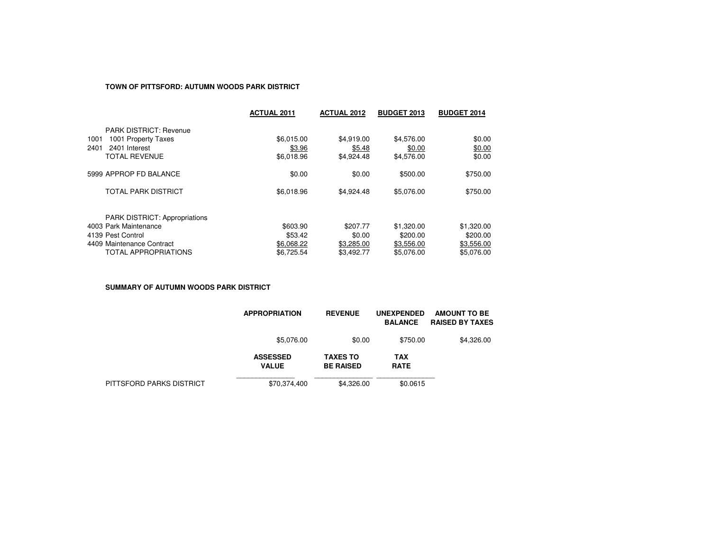### **TOWN OF PITTSFORD: AUTUMN WOODS PARK DISTRICT**

|                                      | <b>ACTUAL 2011</b> | <b>ACTUAL 2012</b> | <b>BUDGET 2013</b> | <b>BUDGET 2014</b> |
|--------------------------------------|--------------------|--------------------|--------------------|--------------------|
| <b>PARK DISTRICT: Revenue</b>        |                    |                    |                    |                    |
| 1001 Property Taxes<br>1001          | \$6.015.00         | \$4.919.00         | \$4,576.00         | \$0.00             |
| 2401<br>2401 Interest                | \$3.96             | \$5.48             | \$0.00             | \$0.00             |
| <b>TOTAL REVENUE</b>                 | \$6,018.96         | \$4,924.48         | \$4,576.00         | \$0.00             |
| 5999 APPROP FD BALANCE               | \$0.00             | \$0.00             | \$500.00           | \$750.00           |
| <b>TOTAL PARK DISTRICT</b>           | \$6,018.96         | \$4.924.48         | \$5.076.00         | \$750.00           |
| <b>PARK DISTRICT: Appropriations</b> |                    |                    |                    |                    |
| 4003 Park Maintenance                | \$603.90           | \$207.77           | \$1,320.00         | \$1,320.00         |
| 4139 Pest Control                    | \$53.42            | \$0.00             | \$200.00           | \$200.00           |
| 4409 Maintenance Contract            | \$6,068.22         | \$3,285.00         | \$3,556.00         | \$3,556.00         |
| <b>TOTAL APPROPRIATIONS</b>          | \$6.725.54         | \$3,492.77         | \$5.076.00         | \$5.076.00         |

**SUMMARY OF AUTUMN WOODS PARK DISTRICT**

|                          | <b>APPROPRIATION</b>            | <b>REVENUE</b>                      | <b>UNEXPENDED</b><br><b>BALANCE</b> | <b>AMOUNT TO BE</b><br><b>RAISED BY TAXES</b> |
|--------------------------|---------------------------------|-------------------------------------|-------------------------------------|-----------------------------------------------|
|                          | \$5,076.00                      | \$0.00                              | \$750.00                            | \$4,326.00                                    |
|                          | <b>ASSESSED</b><br><b>VALUE</b> | <b>TAXES TO</b><br><b>BE RAISED</b> | <b>TAX</b><br><b>RATE</b>           |                                               |
| PITTSFORD PARKS DISTRICT | \$70,374,400                    | \$4,326.00                          | \$0.0615                            |                                               |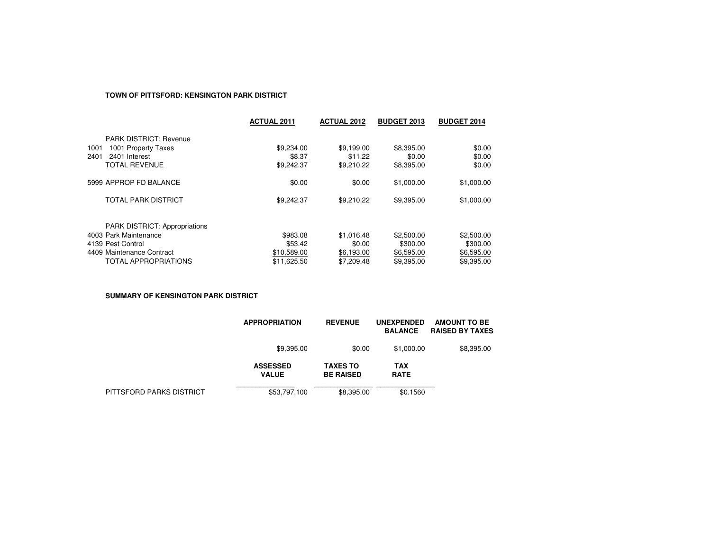# **TOWN OF PITTSFORD: KENSINGTON PARK DISTRICT**

|                                                                                                                                         | <b>ACTUAL 2011</b>                                | <b>ACTUAL 2012</b>                               | <b>BUDGET 2013</b>                                 | <b>BUDGET 2014</b>                                 |
|-----------------------------------------------------------------------------------------------------------------------------------------|---------------------------------------------------|--------------------------------------------------|----------------------------------------------------|----------------------------------------------------|
| <b>PARK DISTRICT: Revenue</b><br>1001 Property Taxes<br>1001<br>2401<br>2401 Interest<br><b>TOTAL REVENUE</b>                           | \$9,234.00<br>\$8.37<br>\$9,242.37                | \$9,199.00<br>\$11.22<br>\$9,210.22              | \$8,395.00<br>\$0.00<br>\$8,395.00                 | \$0.00<br>\$0.00<br>\$0.00                         |
| 5999 APPROP FD BALANCE                                                                                                                  | \$0.00                                            | \$0.00                                           | \$1,000.00                                         | \$1,000.00                                         |
| <b>TOTAL PARK DISTRICT</b>                                                                                                              | \$9,242.37                                        | \$9,210.22                                       | \$9,395.00                                         | \$1,000.00                                         |
| <b>PARK DISTRICT: Appropriations</b><br>4003 Park Maintenance<br>4139 Pest Control<br>4409 Maintenance Contract<br>TOTAL APPROPRIATIONS | \$983.08<br>\$53.42<br>\$10,589.00<br>\$11,625.50 | \$1,016.48<br>\$0.00<br>\$6,193.00<br>\$7,209.48 | \$2,500.00<br>\$300.00<br>\$6,595.00<br>\$9.395.00 | \$2,500.00<br>\$300.00<br>\$6,595.00<br>\$9,395.00 |

**SUMMARY OF KENSINGTON PARK DISTRICT**

|                          | <b>APPROPRIATION</b>            | <b>REVENUE</b>                      | <b>UNEXPENDED</b><br><b>BALANCE</b> | <b>AMOUNT TO BE</b><br><b>RAISED BY TAXES</b> |
|--------------------------|---------------------------------|-------------------------------------|-------------------------------------|-----------------------------------------------|
|                          | \$9,395.00                      | \$0.00                              | \$1,000.00                          | \$8,395.00                                    |
|                          | <b>ASSESSED</b><br><b>VALUE</b> | <b>TAXES TO</b><br><b>BE RAISED</b> | TAX<br><b>RATE</b>                  |                                               |
| PITTSFORD PARKS DISTRICT | \$53,797,100                    | \$8,395,00                          | \$0.1560                            |                                               |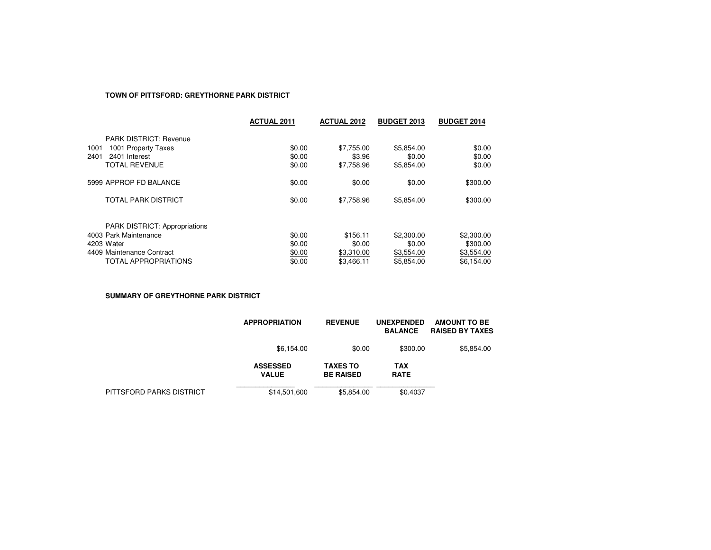# **TOWN OF PITTSFORD: GREYTHORNE PARK DISTRICT**

|                                                                                                                                  | <b>ACTUAL 2011</b>                   | <b>ACTUAL 2012</b>                             | <b>BUDGET 2013</b>                               | <b>BUDGET 2014</b>                                 |
|----------------------------------------------------------------------------------------------------------------------------------|--------------------------------------|------------------------------------------------|--------------------------------------------------|----------------------------------------------------|
| <b>PARK DISTRICT: Revenue</b><br>1001<br>1001 Property Taxes<br>2401 Interest<br>2401<br><b>TOTAL REVENUE</b>                    | \$0.00<br>\$0.00<br>\$0.00           | \$7,755.00<br>\$3.96<br>\$7.758.96             | \$5,854.00<br>\$0.00<br>\$5.854.00               | \$0.00<br>\$0.00<br>\$0.00                         |
| 5999 APPROP FD BALANCE                                                                                                           | \$0.00                               | \$0.00                                         | \$0.00                                           | \$300.00                                           |
| <b>TOTAL PARK DISTRICT</b>                                                                                                       | \$0.00                               | \$7.758.96                                     | \$5,854.00                                       | \$300.00                                           |
| <b>PARK DISTRICT: Appropriations</b><br>4003 Park Maintenance<br>4203 Water<br>4409 Maintenance Contract<br>TOTAL APPROPRIATIONS | \$0.00<br>\$0.00<br>\$0.00<br>\$0.00 | \$156.11<br>\$0.00<br>\$3,310.00<br>\$3.466.11 | \$2,300.00<br>\$0.00<br>\$3,554.00<br>\$5.854.00 | \$2,300.00<br>\$300.00<br>\$3,554.00<br>\$6.154.00 |

**SUMMARY OF GREYTHORNE PARK DISTRICT**

|                          | <b>APPROPRIATION</b>            | <b>REVENUE</b>                      | <b>UNEXPENDED</b><br><b>BALANCE</b> | <b>AMOUNT TO BE</b><br><b>RAISED BY TAXES</b> |
|--------------------------|---------------------------------|-------------------------------------|-------------------------------------|-----------------------------------------------|
|                          | \$6,154.00                      | \$0.00                              | \$300.00                            | \$5,854.00                                    |
|                          | <b>ASSESSED</b><br><b>VALUE</b> | <b>TAXES TO</b><br><b>BE RAISED</b> | TAX<br><b>RATE</b>                  |                                               |
| PITTSFORD PARKS DISTRICT | \$14,501,600                    | \$5.854.00                          | \$0.4037                            |                                               |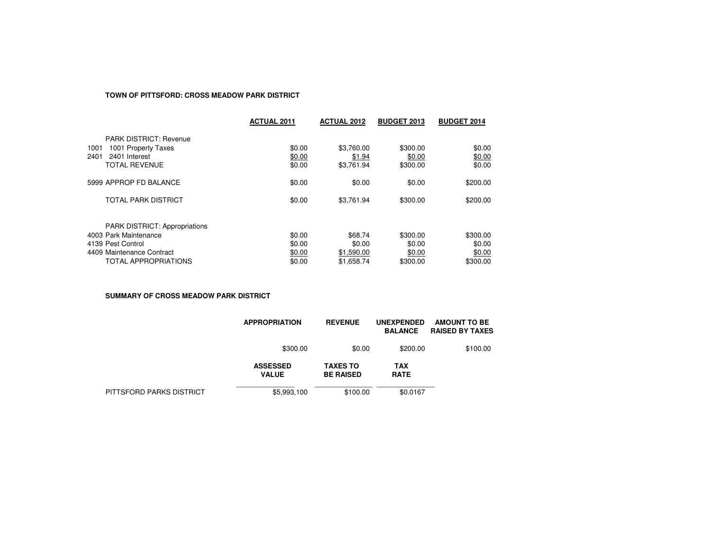# **TOWN OF PITTSFORD: CROSS MEADOW PARK DISTRICT**

|                                                                                                                                         | <b>ACTUAL 2011</b>                   | <b>ACTUAL 2012</b>                            | <b>BUDGET 2013</b>                       | <b>BUDGET 2014</b>                       |
|-----------------------------------------------------------------------------------------------------------------------------------------|--------------------------------------|-----------------------------------------------|------------------------------------------|------------------------------------------|
| <b>PARK DISTRICT: Revenue</b><br>1001 Property Taxes<br>1001<br>2401 Interest<br>2401<br><b>TOTAL REVENUE</b>                           | \$0.00<br>\$0.00<br>\$0.00           | \$3,760.00<br>\$1.94<br>\$3,761.94            | \$300.00<br>\$0.00<br>\$300.00           | \$0.00<br>\$0.00<br>\$0.00               |
| 5999 APPROP FD BALANCE                                                                                                                  | \$0.00                               | \$0.00                                        | \$0.00                                   | \$200.00                                 |
| <b>TOTAL PARK DISTRICT</b>                                                                                                              | \$0.00                               | \$3.761.94                                    | \$300.00                                 | \$200.00                                 |
| <b>PARK DISTRICT: Appropriations</b><br>4003 Park Maintenance<br>4139 Pest Control<br>4409 Maintenance Contract<br>TOTAL APPROPRIATIONS | \$0.00<br>\$0.00<br>\$0.00<br>\$0.00 | \$68.74<br>\$0.00<br>\$1,590.00<br>\$1,658.74 | \$300.00<br>\$0.00<br>\$0.00<br>\$300.00 | \$300.00<br>\$0.00<br>\$0.00<br>\$300.00 |

**SUMMARY OF CROSS MEADOW PARK DISTRICT**

|                          | <b>APPROPRIATION</b>            | <b>REVENUE</b>                      | <b>UNEXPENDED</b><br><b>BALANCE</b> | AMOUNT TO BE<br><b>RAISED BY TAXES</b> |
|--------------------------|---------------------------------|-------------------------------------|-------------------------------------|----------------------------------------|
|                          | \$300.00                        | \$0.00                              | \$200.00                            | \$100.00                               |
|                          | <b>ASSESSED</b><br><b>VALUE</b> | <b>TAXES TO</b><br><b>BE RAISED</b> | TAX<br><b>RATE</b>                  |                                        |
| PITTSFORD PARKS DISTRICT | \$5,993,100                     | \$100.00                            | \$0.0167                            |                                        |